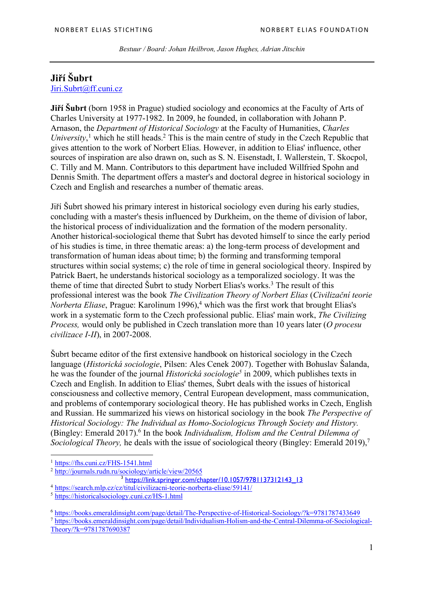*Bestuur / Board: Johan Heilbron, Jason Hughes, Adrian Jitschin*

## **Jiří Šubrt**

Jiri.Subrt@ff.cuni.cz

**Jiří Šubrt** (born 1958 in Prague) studied sociology and economics at the Faculty of Arts of Charles University at 1977-1982. In 2009, he founded, in collaboration with Johann P. Arnason, the *Department of Historical Sociology* at the Faculty of Humanities, *Charles*  University,<sup>1</sup> which he still heads.<sup>2</sup> This is the main centre of study in the Czech Republic that gives attention to the work of Norbert Elias. However, in addition to Elias' influence, other sources of inspiration are also drawn on, such as S. N. Eisenstadt, I. Wallerstein, T. Skocpol, C. Tilly and M. Mann. Contributors to this department have included Willfried Spohn and Dennis Smith. The department offers a master's and doctoral degree in historical sociology in Czech and English and researches a number of thematic areas.

Jiří Šubrt showed his primary interest in historical sociology even during his early studies, concluding with a master's thesis influenced by Durkheim, on the theme of division of labor, the historical process of individualization and the formation of the modern personality. Another historical-sociological theme that Šubrt has devoted himself to since the early period of his studies is time, in three thematic areas: a) the long-term process of development and transformation of human ideas about time; b) the forming and transforming temporal structures within social systems; c) the role of time in general sociological theory. Inspired by Patrick Baert, he understands historical sociology as a temporalized sociology. It was the theme of time that directed Šubrt to study Norbert Elias's works.<sup>3</sup> The result of this professional interest was the book *The Civilization Theory of Norbert Elias* (*Civilizační teorie Norberta Eliase*, Prague: Karolinum 1996),<sup>4</sup> which was the first work that brought Elias's work in a systematic form to the Czech professional public. Elias' main work, *The Civilizing Process,* would only be published in Czech translation more than 10 years later (*O procesu civilizace I-II*), in 2007-2008.

Šubrt became editor of the first extensive handbook on historical sociology in the Czech language (*Historická sociologie*, Pilsen: Ales Cenek 2007). Together with Bohuslav Šalanda, he was the founder of the journal *Historická sociologie5* in 2009, which publishes texts in Czech and English. In addition to Elias' themes, Šubrt deals with the issues of historical consciousness and collective memory, Central European development, mass communication, and problems of contemporary sociological theory. He has published works in Czech, English and Russian. He summarized his views on historical sociology in the book *The Perspective of Historical Sociology: The Individual as Homo-Sociologicus Through Society and History.* (Bingley: Emerald 2017).6 In the book *Individualism, Holism and the Central Dilemma of Sociological Theory,* he deals with the issue of sociological theory (Bingley: Emerald 2019),<sup>7</sup>

 $\overline{\phantom{a}}$ 

<sup>1</sup> https://fhs.cuni.cz/FHS-1541.html

<sup>2</sup> http://journals.rudn.ru/sociology/article/view/20565

<sup>3</sup> https://link.springer.com/chapter/10.1057/9781137312143\_13

<sup>4</sup> https://search.mlp.cz/cz/titul/civilizacni-teorie-norberta-eliase/59141/

<sup>5</sup> https://historicalsociology.cuni.cz/HS-1.html

<sup>6</sup> https://books.emeraldinsight.com/page/detail/The-Perspective-of-Historical-Sociology/?k=9781787433649

<sup>7</sup> https://books.emeraldinsight.com/page/detail/Individualism-Holism-and-the-Central-Dilemma-of-Sociological-Theory/?k=9781787690387